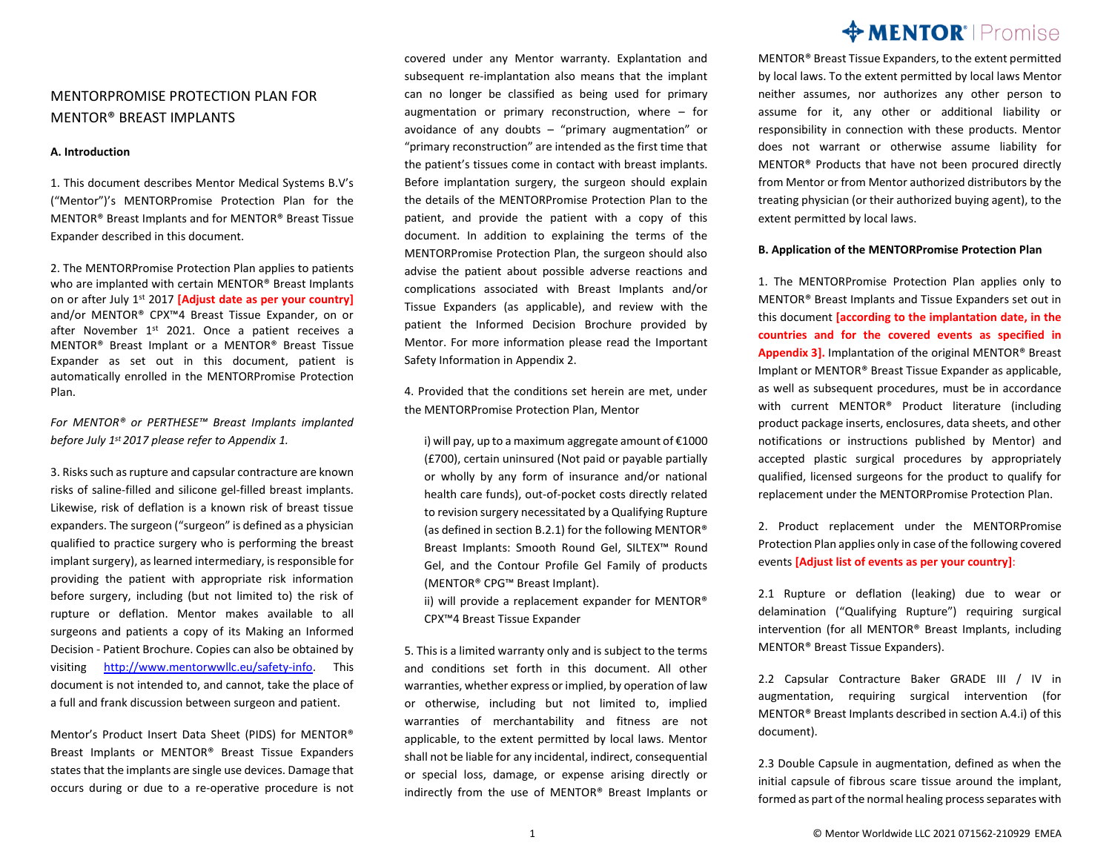## MENTORPROMISE PROTECTION PLAN FOR MENTOR® BREAST IMPLANTS

#### **A. Introduction**

1. This document describes Mentor Medical Systems B.V's ("Mentor")'s MENTORPromise Protection Plan for the MENTOR® Breast Implants and for MENTOR® Breast Tissue Expander described in this document.

2. The MENTORPromise Protection Plan applies to patients who are implanted with certain MENTOR® Breast Implants on or after July 1 st 2017 **[Adjust date as per your country]** and/or MENTOR® CPX™4 Breast Tissue Expander, on or after November 1<sup>st</sup> 2021. Once a patient receives a MENTOR® Breast Implant or a MENTOR® Breast Tissue Expander as set out in this document, patient is automatically enrolled in the MENTORPromise Protection Plan.

*For MENTOR® or PERTHESE™ Breast Implants implanted before July 1 st 2017 please refer to Appendix 1.*

3. Risks such as rupture and capsular contracture are known risks of saline-filled and silicone gel-filled breast implants. Likewise, risk of deflation is a known risk of breast tissue expanders. The surgeon ("surgeon" is defined as a physician qualified to practice surgery who is performing the breast implant surgery), as learned intermediary, is responsible for providing the patient with appropriate risk information before surgery, including (but not limited to) the risk of rupture or deflation. Mentor makes available to all surgeons and patients a copy of its Making an Informed Decision - Patient Brochure. Copies can also be obtained by visiting [http://www.mentorwwllc.eu/safety-info.](http://www.mentorwwllc.eu/safety-info) This document is not intended to, and cannot, take the place of a full and frank discussion between surgeon and patient.

Mentor's Product Insert Data Sheet (PIDS) for MENTOR® Breast Implants or MENTOR® Breast Tissue Expanders states that the implants are single use devices. Damage that occurs during or due to a re-operative procedure is not covered under any Mentor warranty. Explantation and subsequent re-implantation also means that the implant can no longer be classified as being used for primary augmentation or primary reconstruction, where – for avoidance of any doubts – "primary augmentation" or "primary reconstruction" are intended as the first time that the patient's tissues come in contact with breast implants. Before implantation surgery, the surgeon should explain the details of the MENTORPromise Protection Plan to the patient, and provide the patient with a copy of this document. In addition to explaining the terms of the MENTORPromise Protection Plan, the surgeon should also advise the patient about possible adverse reactions and complications associated with Breast Implants and/or Tissue Expanders (as applicable), and review with the patient the Informed Decision Brochure provided by Mentor. For more information please read the Important Safety Information in Appendix 2.

4. Provided that the conditions set herein are met, under the MENTORPromise Protection Plan, Mentor

i) will pay, up to a maximum aggregate amount of €1000 (£700), certain uninsured (Not paid or payable partially or wholly by any form of insurance and/or national health care funds), out-of-pocket costs directly related to revision surgery necessitated by a Qualifying Rupture (as defined in section B.2.1) for the following MENTOR® Breast Implants: Smooth Round Gel, SILTEX™ Round Gel, and the Contour Profile Gel Family of products (MENTOR® CPG™ Breast Implant).

ii) will provide a replacement expander for MENTOR® CPX™4 Breast Tissue Expander

5. This is a limited warranty only and is subject to the terms and conditions set forth in this document. All other warranties, whether express or implied, by operation of law or otherwise, including but not limited to, implied warranties of merchantability and fitness are not applicable, to the extent permitted by local laws. Mentor shall not be liable for any incidental, indirect, consequential or special loss, damage, or expense arising directly or indirectly from the use of MENTOR® Breast Implants or

## **MENTOR**<sup>'</sup> | Promise

MENTOR® Breast Tissue Expanders, to the extent permitted by local laws. To the extent permitted by local laws Mentor neither assumes, nor authorizes any other person to assume for it, any other or additional liability or responsibility in connection with these products. Mentor does not warrant or otherwise assume liability for MENTOR® Products that have not been procured directly from Mentor or from Mentor authorized distributors by the treating physician (or their authorized buying agent), to the extent permitted by local laws.

#### **B. Application of the MENTORPromise Protection Plan**

1. The MENTORPromise Protection Plan applies only to MENTOR® Breast Implants and Tissue Expanders set out in this document **[according to the implantation date, in the countries and for the covered events as specified in Appendix 3].** Implantation of the original MENTOR® Breast Implant or MENTOR® Breast Tissue Expander as applicable, as well as subsequent procedures, must be in accordance with current MENTOR® Product literature (including product package inserts, enclosures, data sheets, and other notifications or instructions published by Mentor) and accepted plastic surgical procedures by appropriately qualified, licensed surgeons for the product to qualify for replacement under the MENTORPromise Protection Plan.

2. Product replacement under the MENTORPromise Protection Plan applies only in case of the following covered events **[Adjust list of events as per your country]**:

2.1 Rupture or deflation (leaking) due to wear or delamination ("Qualifying Rupture") requiring surgical intervention (for all MENTOR® Breast Implants, including MENTOR® Breast Tissue Expanders).

2.2 Capsular Contracture Baker GRADE III / IV in augmentation, requiring surgical intervention (for MENTOR® Breast Implants described in section A.4.i) of this document).

2.3 Double Capsule in augmentation, defined as when the initial capsule of fibrous scare tissue around the implant, formed as part of the normal healing process separates with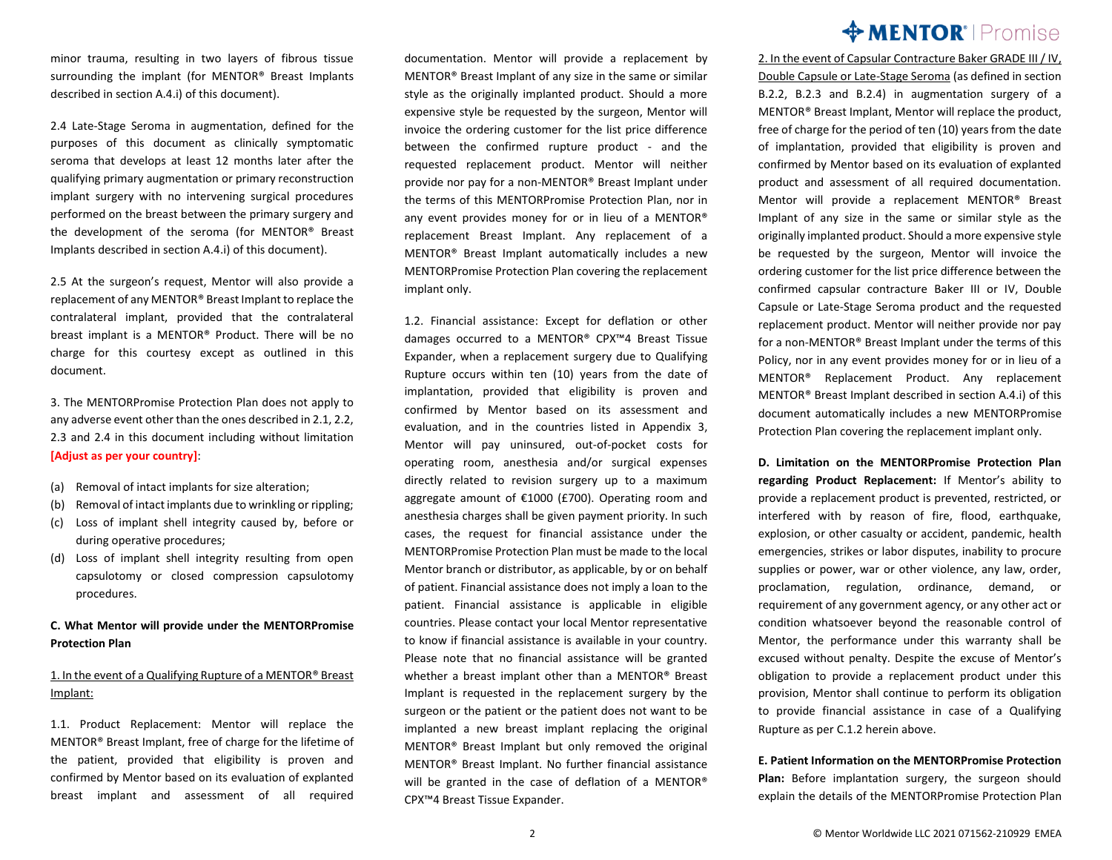minor trauma, resulting in two layers of fibrous tissue surrounding the implant (for MENTOR® Breast Implants described in section A.4.i) of this document).

2.4 Late-Stage Seroma in augmentation, defined for the purposes of this document as clinically symptomatic seroma that develops at least 12 months later after the qualifying primary augmentation or primary reconstruction implant surgery with no intervening surgical procedures performed on the breast between the primary surgery and the development of the seroma (for MENTOR® Breast Implants described in section A.4.i) of this document).

2.5 At the surgeon's request, Mentor will also provide a replacement of any MENTOR® Breast Implant to replace the contralateral implant, provided that the contralateral breast implant is a MENTOR® Product. There will be no charge for this courtesy except as outlined in this document.

3. The MENTORPromise Protection Plan does not apply to any adverse event other than the ones described in 2.1, 2.2, 2.3 and 2.4 in this document including without limitation **[Adjust as per your country]**:

- (a) Removal of intact implants for size alteration;
- (b) Removal of intact implants due to wrinkling or rippling;
- (c) Loss of implant shell integrity caused by, before or during operative procedures;
- (d) Loss of implant shell integrity resulting from open capsulotomy or closed compression capsulotomy procedures.

### **C. What Mentor will provide under the MENTORPromise Protection Plan**

### 1. In the event of a Qualifying Rupture of a MENTOR® Breast Implant:

1.1. Product Replacement: Mentor will replace the MENTOR® Breast Implant, free of charge for the lifetime of the patient, provided that eligibility is proven and confirmed by Mentor based on its evaluation of explanted breast implant and assessment of all required

documentation. Mentor will provide a replacement by MENTOR® Breast Implant of any size in the same or similar style as the originally implanted product. Should a more expensive style be requested by the surgeon, Mentor will invoice the ordering customer for the list price difference between the confirmed rupture product - and the requested replacement product. Mentor will neither provide nor pay for a non-MENTOR® Breast Implant under the terms of this MENTORPromise Protection Plan, nor in any event provides money for or in lieu of a MENTOR® replacement Breast Implant. Any replacement of a MENTOR® Breast Implant automatically includes a new MENTORPromise Protection Plan covering the replacement implant only.

1.2. Financial assistance: Except for deflation or other damages occurred to a MENTOR® CPX™4 Breast Tissue Expander, when a replacement surgery due to Qualifying Rupture occurs within ten (10) years from the date of implantation, provided that eligibility is proven and confirmed by Mentor based on its assessment and evaluation, and in the countries listed in Appendix 3, Mentor will pay uninsured, out-of-pocket costs for operating room, anesthesia and/or surgical expenses directly related to revision surgery up to a maximum aggregate amount of €1000 (£700). Operating room and anesthesia charges shall be given payment priority. In such cases, the request for financial assistance under the MENTORPromise Protection Plan must be made to the local Mentor branch or distributor, as applicable, by or on behalf of patient. Financial assistance does not imply a loan to the patient. Financial assistance is applicable in eligible countries. Please contact your local Mentor representative to know if financial assistance is available in your country. Please note that no financial assistance will be granted whether a breast implant other than a MENTOR® Breast Implant is requested in the replacement surgery by the surgeon or the patient or the patient does not want to be implanted a new breast implant replacing the original MENTOR® Breast Implant but only removed the original MENTOR® Breast Implant. No further financial assistance will be granted in the case of deflation of a MENTOR<sup>®</sup> CPX™4 Breast Tissue Expander.

# **MENTOR**<sup>'</sup> | Promise

2. In the event of Capsular Contracture Baker GRADE III / IV, Double Capsule or Late-Stage Seroma (as defined in section B.2.2, B.2.3 and B.2.4) in augmentation surgery of a MENTOR® Breast Implant, Mentor will replace the product, free of charge for the period of ten (10) years from the date of implantation, provided that eligibility is proven and confirmed by Mentor based on its evaluation of explanted product and assessment of all required documentation. Mentor will provide a replacement MENTOR® Breast Implant of any size in the same or similar style as the originally implanted product. Should a more expensive style be requested by the surgeon, Mentor will invoice the ordering customer for the list price difference between the confirmed capsular contracture Baker III or IV, Double Capsule or Late-Stage Seroma product and the requested replacement product. Mentor will neither provide nor pay for a non-MENTOR® Breast Implant under the terms of this Policy, nor in any event provides money for or in lieu of a MENTOR® Replacement Product. Any replacement MENTOR® Breast Implant described in section A.4.i) of this document automatically includes a new MENTORPromise Protection Plan covering the replacement implant only.

**D. Limitation on the MENTORPromise Protection Plan regarding Product Replacement:** If Mentor's ability to provide a replacement product is prevented, restricted, or interfered with by reason of fire, flood, earthquake, explosion, or other casualty or accident, pandemic, health emergencies, strikes or labor disputes, inability to procure supplies or power, war or other violence, any law, order, proclamation, regulation, ordinance, demand, or requirement of any government agency, or any other act or condition whatsoever beyond the reasonable control of Mentor, the performance under this warranty shall be excused without penalty. Despite the excuse of Mentor's obligation to provide a replacement product under this provision, Mentor shall continue to perform its obligation to provide financial assistance in case of a Qualifying Rupture as per C.1.2 herein above.

### **E. Patient Information on the MENTORPromise Protection Plan:** Before implantation surgery, the surgeon should explain the details of the MENTORPromise Protection Plan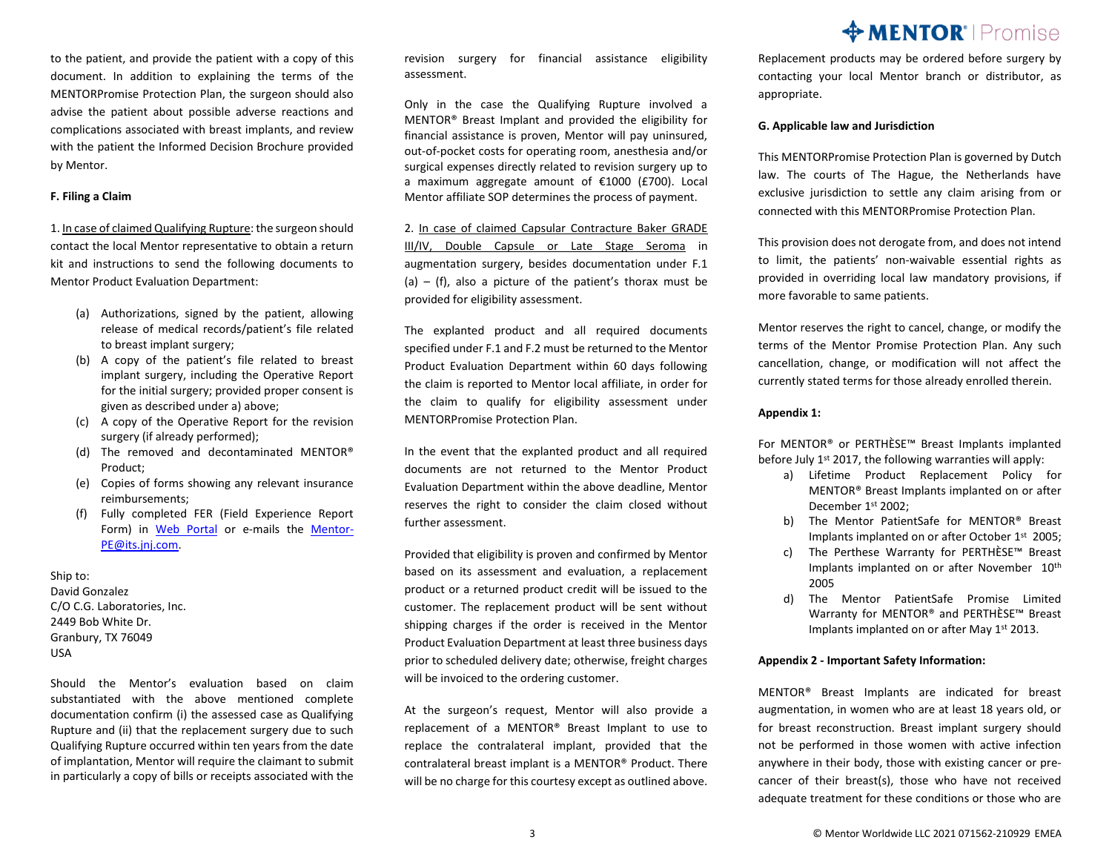to the patient, and provide the patient with a copy of this document. In addition to explaining the terms of the MENTORPromise Protection Plan, the surgeon should also advise the patient about possible adverse reactions and complications associated with breast implants, and review with the patient the Informed Decision Brochure provided by Mentor.

#### **F. Filing a Claim**

1. In case of claimed Qualifying Rupture: the surgeon should contact the local Mentor representative to obtain a return kit and instructions to send the following documents to Mentor Product Evaluation Department:

- (a) Authorizations, signed by the patient, allowing release of medical records/patient's file related to breast implant surgery;
- (b) A copy of the patient's file related to breast implant surgery, including the Operative Report for the initial surgery; provided proper consent is given as described under a) above;
- (c) A copy of the Operative Report for the revision surgery (if already performed);
- (d) The removed and decontaminated MENTOR® Product;
- (e) Copies of forms showing any relevant insurance reimbursements;
- (f) Fully completed FER (Field Experience Report Form) in Web [Portal](https://projectsynergy.jnj.com/) or e-mails the [Mentor-](mailto:Mentor-PE@its.jnj.com)[PE@its.jnj.com.](mailto:Mentor-PE@its.jnj.com)

Ship to: David Gonzalez C/O C.G. Laboratories, Inc. 2449 Bob White Dr. Granbury, TX 76049 USA

Should the Mentor's evaluation based on claim substantiated with the above mentioned complete documentation confirm (i) the assessed case as Qualifying Rupture and (ii) that the replacement surgery due to such Qualifying Rupture occurred within ten years from the date of implantation, Mentor will require the claimant to submit in particularly a copy of bills or receipts associated with the revision surgery for financial assistance eligibility assessment.

Only in the case the Qualifying Rupture involved a MENTOR® Breast Implant and provided the eligibility for financial assistance is proven, Mentor will pay uninsured, out-of-pocket costs for operating room, anesthesia and/or surgical expenses directly related to revision surgery up to a maximum aggregate amount of €1000 (£700). Local Mentor affiliate SOP determines the process of payment.

2. In case of claimed Capsular Contracture Baker GRADE III/IV, Double Capsule or Late Stage Seroma in augmentation surgery, besides documentation under F.1 (a) – (f), also a picture of the patient's thorax must be provided for eligibility assessment.

The explanted product and all required documents specified under F.1 and F.2 must be returned to the Mentor Product Evaluation Department within 60 days following the claim is reported to Mentor local affiliate, in order for the claim to qualify for eligibility assessment under MENTORPromise Protection Plan.

In the event that the explanted product and all required documents are not returned to the Mentor Product Evaluation Department within the above deadline, Mentor reserves the right to consider the claim closed without further assessment.

Provided that eligibility is proven and confirmed by Mentor based on its assessment and evaluation, a replacement product or a returned product credit will be issued to the customer. The replacement product will be sent without shipping charges if the order is received in the Mentor Product Evaluation Department at least three business days prior to scheduled delivery date; otherwise, freight charges will be invoiced to the ordering customer.

At the surgeon's request, Mentor will also provide a replacement of a MENTOR® Breast Implant to use to replace the contralateral implant, provided that the contralateral breast implant is a MENTOR® Product. There will be no charge for this courtesy except as outlined above.

## **MENTOR**<sup>'</sup> | Promise

Replacement products may be ordered before surgery by contacting your local Mentor branch or distributor, as appropriate.

#### **G. Applicable law and Jurisdiction**

This MENTORPromise Protection Plan is governed by Dutch law. The courts of The Hague, the Netherlands have exclusive jurisdiction to settle any claim arising from or connected with this MENTORPromise Protection Plan.

This provision does not derogate from, and does not intend to limit, the patients' non-waivable essential rights as provided in overriding local law mandatory provisions, if more favorable to same patients.

Mentor reserves the right to cancel, change, or modify the terms of the Mentor Promise Protection Plan. Any such cancellation, change, or modification will not affect the currently stated terms for those already enrolled therein.

#### **Appendix 1:**

For MENTOR® or PERTHÈSE™ Breast Implants implanted before July 1st 2017, the following warranties will apply:

- a) Lifetime Product Replacement Policy for MENTOR® Breast Implants implanted on or after December 1<sup>st</sup> 2002;
- b) The Mentor PatientSafe for MENTOR® Breast Implants implanted on or after October 1<sup>st</sup> 2005;
- c) The Perthese Warranty for PERTHÈSE™ Breast Implants implanted on or after November 10<sup>th</sup> 2005
- d) The Mentor PatientSafe Promise Limited Warranty for MENTOR® and PERTHÈSE™ Breast Implants implanted on or after May 1st 2013.

#### **Appendix 2 - Important Safety Information:**

MENTOR® Breast Implants are indicated for breast augmentation, in women who are at least 18 years old, or for breast reconstruction. Breast implant surgery should not be performed in those women with active infection anywhere in their body, those with existing cancer or precancer of their breast(s), those who have not received adequate treatment for these conditions or those who are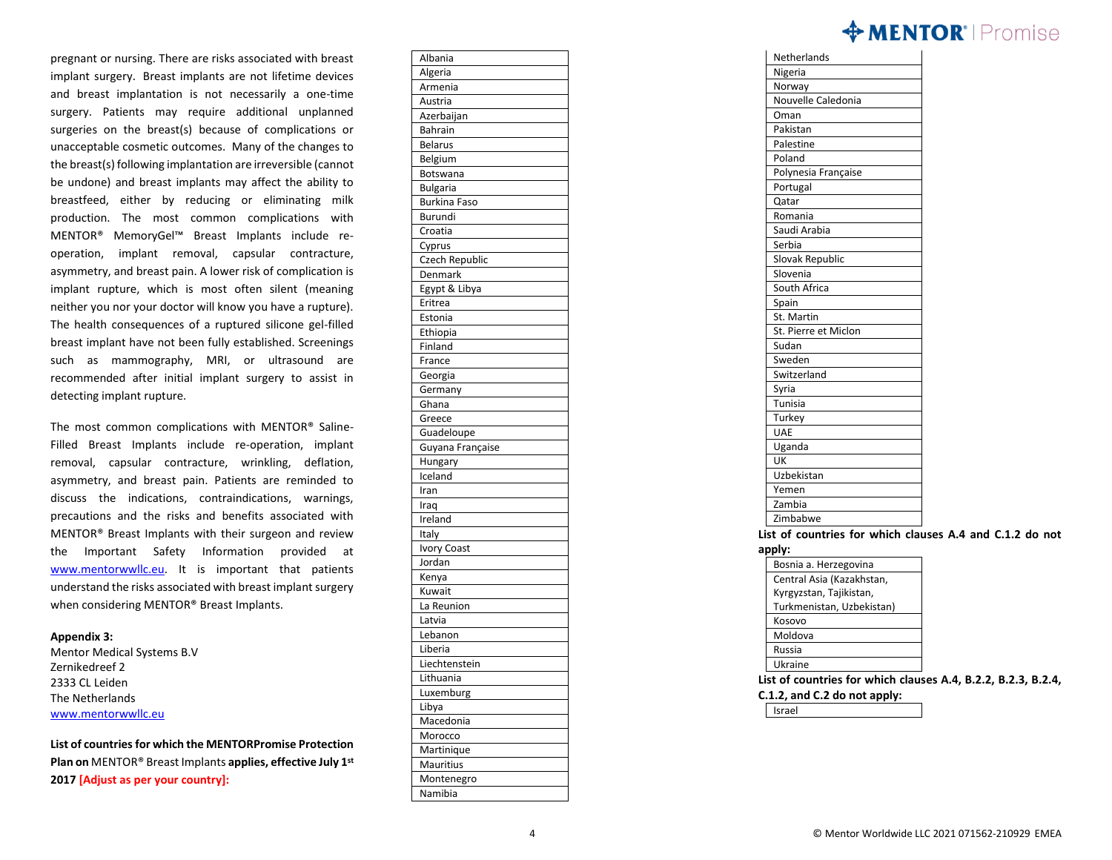## $\Leftrightarrow$  MENTOR $^{\circ}$  | Promise

pregnant or nursing. There are risks associated with breast implant surgery. Breast implants are not lifetime devices and breast implantation is not necessarily a one -time surgery. Patients may require additional unplanned surgeries on the breast(s) because of complications or unacceptable cosmetic outcomes. Many of the changes to the breast(s) following implantation are irreversible (cannot be undone) and breast implants may affect the ability to breastfeed, either by reducing or eliminating milk production. The most common complications with MENTOR® MemoryGel™ Breast Implants include re operation, implant removal, capsular contracture, asymmetry, and breast pain. A lower risk of complication is implant rupture, which is most often silent (meaning neither you nor your doctor will know you have a rupture). The health consequences of a ruptured silicone gel -filled breast implant have not been fully established. Screenings such as mammography, MRI, or ultrasound are recommended after initial implant surgery to assist in detecting implant rupture.

The most common complications with MENTOR® Saline - Filled Breast Implants include re -operation, implant removal, capsular contracture, wrinkling, deflation, asymmetry, and breast pain. Patients are reminded to discuss the indications, contraindications, warnings, precautions and the risks and benefits associated with MENTOR® Breast Implants with their surgeon and review the Important Safety Information provided at [www.mentorwwllc.eu](http://www.mentorwwllc.eu/). It is important that patients understand the risks associated with breast implant surgery when considering MENTOR® Breast Implants.

#### **Appendix 3 :**

Mentor Medical Systems B.V Zernikedreef 2 2333 CL Leiden The Netherlands [www.mentorwwllc.eu](http://www.mentorwwllc.eu/)

**List of countriesfor which the MENTORPromise Protection Plan on** MENTOR® Breast Implants **applies, effective July 1st 2017 [Adjust as per your country]:**

| Alballid            |
|---------------------|
| Algeria             |
| Armenia             |
| Austria             |
| Azerbaijan          |
| <b>Bahrain</b>      |
| <b>Belarus</b>      |
| Belgium             |
| Botswana            |
| <b>Bulgaria</b>     |
| <b>Burkina Faso</b> |
| Burundi             |
| Croatia             |
| Cyprus              |
| Czech Republic      |
| Denmark             |
| Egypt & Libya       |
| Eritrea             |
| Estonia             |
| Ethiopia            |
| Finland             |
| France              |
| Georgia             |
| Germany             |
| Ghana               |
| Greece              |
| Guadeloupe          |
| Guyana Française    |
| Hungary             |
| Iceland             |
| Iran                |
| Iraq                |
| Ireland             |
| Italy               |
| <b>Ivory Coast</b>  |
| Jordan              |
| Kenya               |
| Kuwait              |
| La Reunion          |
| Latvia              |
| Lebanon             |
| Liberia             |
| Liechtenstein       |
| Lithuania           |
| Luxemburg           |
| Libya               |
| Macedonia           |
|                     |
| Morocco             |
| Martinique          |
| Mauritius           |
| Montenegro          |
| Namibia             |

Albania

| Nigeria              |
|----------------------|
|                      |
| Norway               |
| Nouvelle Caledonia   |
| Oman                 |
| Pakistan             |
| Palestine            |
| Poland               |
| Polynesia Française  |
| Portugal             |
| Qatar                |
| Romania              |
| Saudi Arabia         |
| Serbia               |
| Slovak Republic      |
| Slovenia             |
| South Africa         |
| Spain                |
| St. Martin           |
| St. Pierre et Miclon |
| Sudan                |
| Sweden               |
| Switzerland          |
| Syria                |
| Tunisia              |
| Turkey               |
| <b>UAE</b>           |
| Uganda               |
| UK                   |
| Uzbekistan           |
| Yemen                |
| Zambia               |
| Zimbabwe             |

**countries for which clauses A.4 and C.1.2 do not apply :**

| Bosnia a. Herzegovina     |
|---------------------------|
| Central Asia (Kazakhstan, |
| Kyrgyzstan, Tajikistan,   |
| Turkmenistan, Uzbekistan) |
| Kosovo                    |
| Moldova                   |
| Russia                    |
| Ukraine                   |

**List of countries for which clauses A.4, B.2.2, B.2.3, B.2.4,** 

**C.1.2, and C.2 do not apply :**

Israel